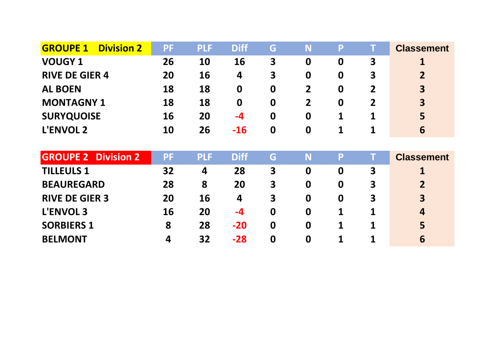| <b>GROUPE 1</b><br><b>Division 2</b> | <b>PF</b> | <b>PLF</b> | <b>Diff</b> | G                | N                | P                | Т              | <b>Classement</b>       |
|--------------------------------------|-----------|------------|-------------|------------------|------------------|------------------|----------------|-------------------------|
| <b>VOUGY 1</b>                       | 26        | 10         | 16          | 3                | $\boldsymbol{0}$ | $\boldsymbol{0}$ | 3              |                         |
| <b>RIVE DE GIER 4</b>                | 20        | 16         | 4           | 3                | $\boldsymbol{0}$ | $\mathbf 0$      | 3              | $\overline{2}$          |
| <b>AL BOEN</b>                       | 18        | 18         | $\mathbf 0$ | $\boldsymbol{0}$ | $\overline{2}$   | 0                | $\overline{2}$ | $\overline{\mathbf{3}}$ |
| <b>MONTAGNY 1</b>                    | 18        | 18         | $\mathbf 0$ | $\mathbf 0$      | 2                | $\boldsymbol{0}$ | $\overline{2}$ | $\overline{\mathbf{3}}$ |
| <b>SURYQUOISE</b>                    | 16        | 20         | $-4$        | $\boldsymbol{0}$ | $\boldsymbol{0}$ | 1                | 1              | 5                       |
| <b>L'ENVOL 2</b>                     | 10        | 26         | $-16$       | $\boldsymbol{0}$ | $\boldsymbol{0}$ | 1                | 1              | 6                       |
|                                      |           |            |             |                  |                  |                  |                |                         |
|                                      |           |            |             |                  |                  |                  |                |                         |
| <b>GROUPE 2 Division 2</b>           | <b>PF</b> | <b>PLF</b> | <b>Diff</b> | G                | N                | P                | Т              | <b>Classement</b>       |
| <b>TILLEULS 1</b>                    | 32        | 4          | 28          | 3                | $\boldsymbol{0}$ | $\boldsymbol{0}$ | 3              |                         |
| <b>BEAUREGARD</b>                    | 28        | 8          | 20          | 3                | $\boldsymbol{0}$ | $\boldsymbol{0}$ | 3              | $\overline{2}$          |
| <b>RIVE DE GIER 3</b>                | 20        | 16         | 4           | 3                | $\boldsymbol{0}$ | $\boldsymbol{0}$ | 3              | $\overline{\mathbf{3}}$ |
| <b>L'ENVOL 3</b>                     | 16        | 20         | $-4$        | $\mathbf 0$      | $\boldsymbol{0}$ | 1                | 1              | 4                       |
| <b>SORBIERS 1</b>                    | 8         | 28         | $-20$       | $\boldsymbol{0}$ | $\boldsymbol{0}$ | 1                | 1              | 5                       |